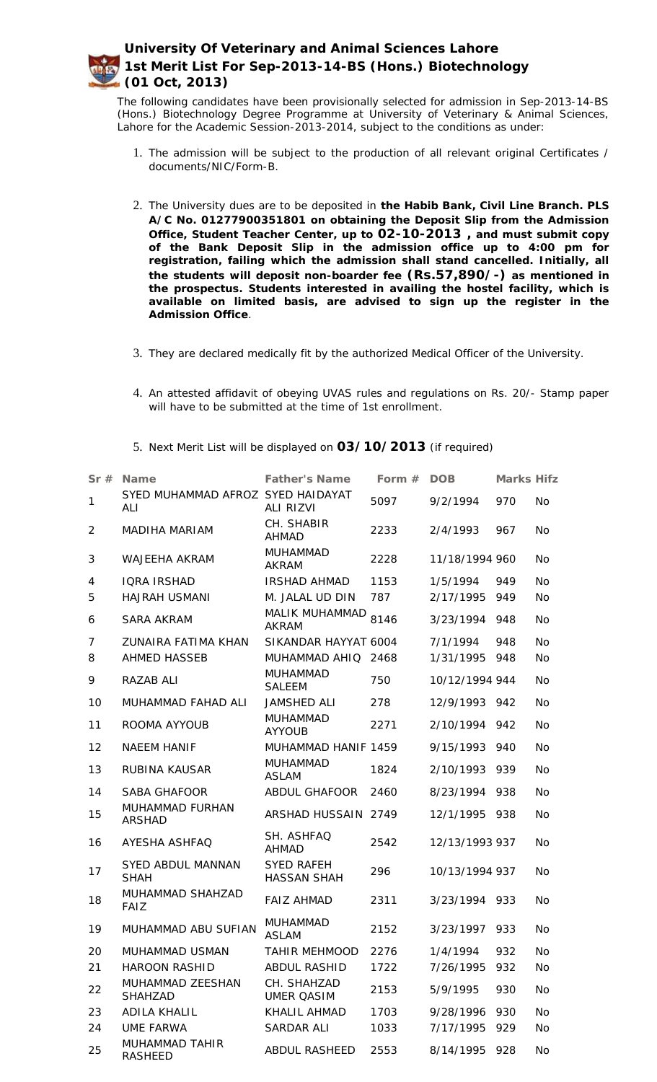The following candidates have been provisionally selected for admission in Sep-2013-14-BS (Hons.) Biotechnology Degree Programme at University of Veterinary & Animal Sciences, Lahore for the Academic Session-2013-2014, subject to the conditions as under:

- 1. The admission will be subject to the production of all relevant original Certificates / documents/NIC/Form-B.
- 2. The University dues are to be deposited in **the Habib Bank, Civil Line Branch. PLS A/C No. 01277900351801 on obtaining the Deposit Slip from the Admission Office, Student Teacher Center, up to 02-10-2013 , and must submit copy of the Bank Deposit Slip in the admission office up to 4:00 pm for registration, failing which the admission shall stand cancelled. Initially, all the students will deposit non-boarder fee (Rs.57,890/-) as mentioned in the prospectus. Students interested in availing the hostel facility, which is available on limited basis, are advised to sign up the register in the Admission Office**.
- 3. They are declared medically fit by the authorized Medical Officer of the University.
- 4. An attested affidavit of obeying UVAS rules and regulations on Rs. 20/- Stamp paper will have to be submitted at the time of 1st enrollment.
- 5. Next Merit List will be displayed on **03/10/2013** (if required)

| Sr#            | Name                                     | <b>Father's Name</b>                    | Form $#$ | <b>DOB</b>     | Marks Hifz |           |
|----------------|------------------------------------------|-----------------------------------------|----------|----------------|------------|-----------|
| $\mathbf{1}$   | SYED MUHAMMAD AFROZ SYED HAIDAYAT<br>ALI | ALI RIZVI                               | 5097     | 9/2/1994       | 970        | <b>No</b> |
| 2              | MADIHA MARIAM                            | CH. SHABIR<br><b>AHMAD</b>              | 2233     | 2/4/1993       | 967        | <b>No</b> |
| 3              | WAJEEHA AKRAM                            | <b>MUHAMMAD</b><br><b>AKRAM</b>         | 2228     | 11/18/1994 960 |            | <b>No</b> |
| 4              | <b>IQRA IRSHAD</b>                       | <b>IRSHAD AHMAD</b>                     | 1153     | 1/5/1994       | 949        | <b>No</b> |
| 5              | HAJRAH USMANI                            | M. JALAL UD DIN                         | 787      | 2/17/1995      | 949        | <b>No</b> |
| 6              | <b>SARA AKRAM</b>                        | MALIK MUHAMMAD<br><b>AKRAM</b>          | 8146     | 3/23/1994      | 948        | <b>No</b> |
| $\overline{7}$ | ZUNAIRA FATIMA KHAN                      | SIKANDAR HAYYAT 6004                    |          | 7/1/1994       | 948        | <b>No</b> |
| 8              | <b>AHMED HASSEB</b>                      | MUHAMMAD AHIQ 2468                      |          | 1/31/1995      | 948        | <b>No</b> |
| 9              | RAZAB ALI                                | <b>MUHAMMAD</b><br><b>SALEEM</b>        | 750      | 10/12/1994 944 |            | <b>No</b> |
| 10             | MUHAMMAD FAHAD ALI                       | <b>JAMSHED ALI</b>                      | 278      | 12/9/1993 942  |            | <b>No</b> |
| 11             | ROOMA AYYOUB                             | <b>MUHAMMAD</b><br><b>AYYOUB</b>        | 2271     | 2/10/1994 942  |            | <b>No</b> |
| 12             | <b>NAEEM HANIF</b>                       | MUHAMMAD HANIF 1459                     |          | 9/15/1993      | 940        | <b>No</b> |
| 13             | <b>RUBINA KAUSAR</b>                     | <b>MUHAMMAD</b><br><b>ASLAM</b>         | 1824     | 2/10/1993 939  |            | <b>No</b> |
| 14             | <b>SABA GHAFOOR</b>                      | ABDUL GHAFOOR                           | 2460     | 8/23/1994 938  |            | <b>No</b> |
| 15             | MUHAMMAD FURHAN<br><b>ARSHAD</b>         | ARSHAD HUSSAIN 2749                     |          | 12/1/1995 938  |            | <b>No</b> |
| 16             | AYESHA ASHFAQ                            | SH. ASHFAQ<br><b>AHMAD</b>              | 2542     | 12/13/1993 937 |            | <b>No</b> |
| 17             | <b>SYED ABDUL MANNAN</b><br><b>SHAH</b>  | <b>SYED RAFEH</b><br><b>HASSAN SHAH</b> | 296      | 10/13/1994 937 |            | <b>No</b> |
| 18             | MUHAMMAD SHAHZAD<br><b>FAIZ</b>          | <b>FAIZ AHMAD</b>                       | 2311     | 3/23/1994 933  |            | <b>No</b> |
| 19             | MUHAMMAD ABU SUFIAN                      | <b>MUHAMMAD</b><br><b>ASLAM</b>         | 2152     | 3/23/1997 933  |            | <b>No</b> |
| 20             | MUHAMMAD USMAN                           | TAHIR MEHMOOD 2276                      |          | 1/4/1994       | 932        | No.       |
| 21             | <b>HAROON RASHID</b>                     | ABDUL RASHID                            | 1722     | 7/26/1995      | 932        | No        |
| 22             | MUHAMMAD ZEESHAN<br>SHAHZAD              | CH. SHAHZAD<br><b>UMER QASIM</b>        | 2153     | 5/9/1995       | 930        | No        |
| 23             | <b>ADILA KHALIL</b>                      | KHALIL AHMAD                            | 1703     | 9/28/1996      | 930        | <b>No</b> |
| 24             | <b>UME FARWA</b>                         | <b>SARDAR ALI</b>                       | 1033     | 7/17/1995      | 929        | No        |
| 25             | MUHAMMAD TAHIR<br><b>RASHEED</b>         | <b>ABDUL RASHEED</b>                    | 2553     | 8/14/1995      | 928        | No        |